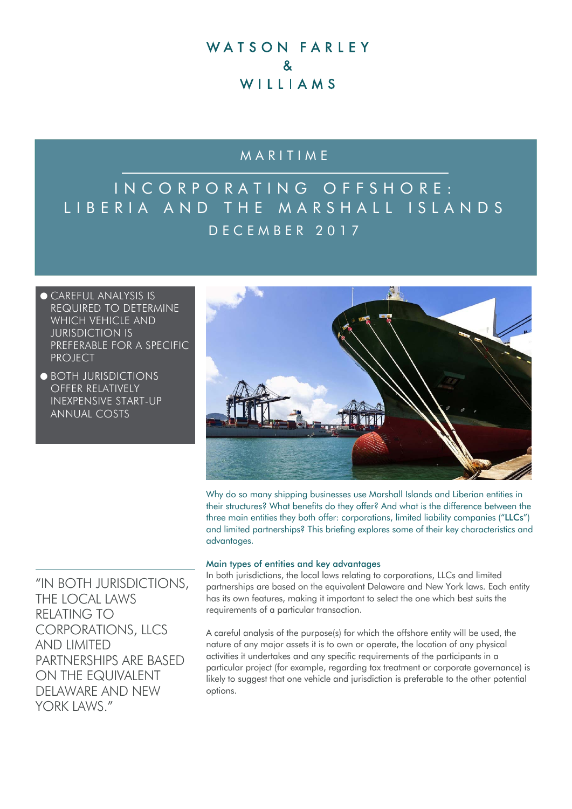# WATSON FARLEY WILLIAMS

### MARITIME

# INCORPORATING OFFSHORE: LIBERIA AND THE MARSHALL ISLANDS DECEMBER 2017

- CAREFUL ANALYSIS IS REQUIRED TO DETERMINE WHICH VEHICLE AND JURISDICTION IS PREFERABLE FOR A SPECIFIC PROJECT
- BOTH JURISDICTIONS OFFER RELATIVELY INEXPENSIVE START-UP ANNUAL COSTS



Why do so many shipping businesses use Marshall Islands and Liberian entities in their structures? What benefits do they offer? And what is the difference between the three main entities they both offer: corporations, limited liability companies ("LLCs") and limited partnerships? This briefing explores some of their key characteristics and advantages.

"IN BOTH JURISDICTIONS, THE LOCAL LAWS RELATING TO CORPORATIONS, LLCS AND LIMITED PARTNERSHIPS ARE BASED ON THE EQUIVALENT DELAWARE AND NEW YORK LAWS"

#### Main types of entities and key advantages

In both jurisdictions, the local laws relating to corporations, LLCs and limited partnerships are based on the equivalent Delaware and New York laws. Each entity has its own features, making it important to select the one which best suits the requirements of a particular transaction.

A careful analysis of the purpose(s) for which the offshore entity will be used, the nature of any major assets it is to own or operate, the location of any physical activities it undertakes and any specific requirements of the participants in a particular project (for example, regarding tax treatment or corporate governance) is likely to suggest that one vehicle and jurisdiction is preferable to the other potential options.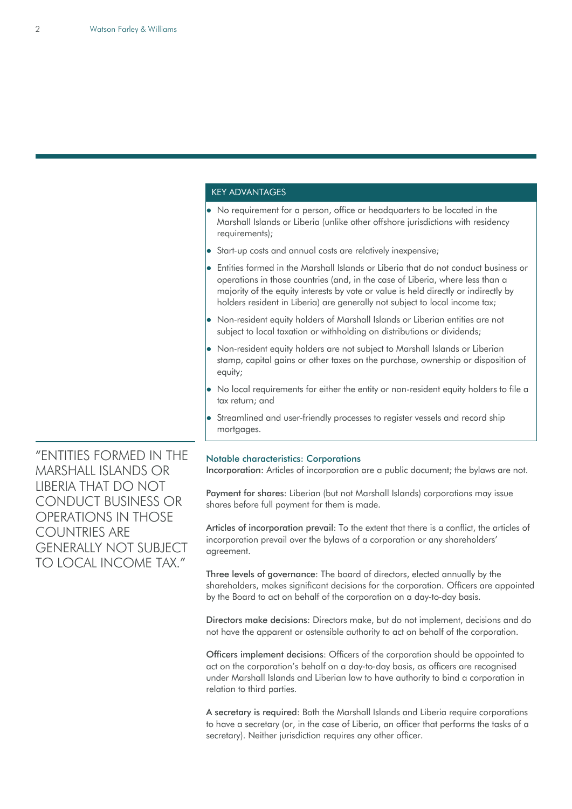OPERATIONS IN THOSE

GENERALLY NOT SUBJECT TO LOCAL INCOME TAX."

COUNTRIES ARE

|                                                       | <b>KEY ADVANTAGES</b>                                                                                                                                                                                                                                                                                                                              |
|-------------------------------------------------------|----------------------------------------------------------------------------------------------------------------------------------------------------------------------------------------------------------------------------------------------------------------------------------------------------------------------------------------------------|
|                                                       | • No requirement for a person, office or headquarters to be located in the<br>Marshall Islands or Liberia (unlike other offshore jurisdictions with residency<br>requirements);                                                                                                                                                                    |
|                                                       | • Start-up costs and annual costs are relatively inexpensive;                                                                                                                                                                                                                                                                                      |
|                                                       | <b>•</b> Entities formed in the Marshall Islands or Liberia that do not conduct business or<br>operations in those countries (and, in the case of Liberia, where less than a<br>majority of the equity interests by vote or value is held directly or indirectly by<br>holders resident in Liberia) are generally not subject to local income tax; |
|                                                       | • Non-resident equity holders of Marshall Islands or Liberian entities are not<br>subject to local taxation or withholding on distributions or dividends;                                                                                                                                                                                          |
|                                                       | • Non-resident equity holders are not subject to Marshall Islands or Liberian<br>stamp, capital gains or other taxes on the purchase, ownership or disposition of<br>equity;                                                                                                                                                                       |
|                                                       | • No local requirements for either the entity or non-resident equity holders to file a<br>tax return; and                                                                                                                                                                                                                                          |
|                                                       | • Streamlined and user-friendly processes to register vessels and record ship<br>mortgages.                                                                                                                                                                                                                                                        |
| "ENTITIES FORMED IN THE<br><b>MARSHALL ISLANDS OR</b> | <b>Notable characteristics: Corporations</b><br>Incorporation: Articles of incorporation are a public document; the bylaws are not.                                                                                                                                                                                                                |
| LIBERIA THAT DO NOT<br><b>CONDUCT BUSINESS OR</b>     | Payment for shares: Liberian (but not Marshall Islands) corporations may issue<br>shares before full payment for them is made.                                                                                                                                                                                                                     |

shares before full payment for them is made.

Articles of incorporation prevail: To the extent that there is a conflict, the articles of incorporation prevail over the bylaws of a corporation or any shareholders' agreement.

Three levels of governance: The board of directors, elected annually by the shareholders, makes significant decisions for the corporation. Officers are appointed by the Board to act on behalf of the corporation on a day‐to‐day basis.

Directors make decisions: Directors make, but do not implement, decisions and do not have the apparent or ostensible authority to act on behalf of the corporation.

Officers implement decisions: Officers of the corporation should be appointed to act on the corporation's behalf on a day‐to‐day basis, as officers are recognised under Marshall Islands and Liberian law to have authority to bind a corporation in relation to third parties.

A secretary is required: Both the Marshall Islands and Liberia require corporations to have a secretary (or, in the case of Liberia, an officer that performs the tasks of a secretary). Neither jurisdiction requires any other officer.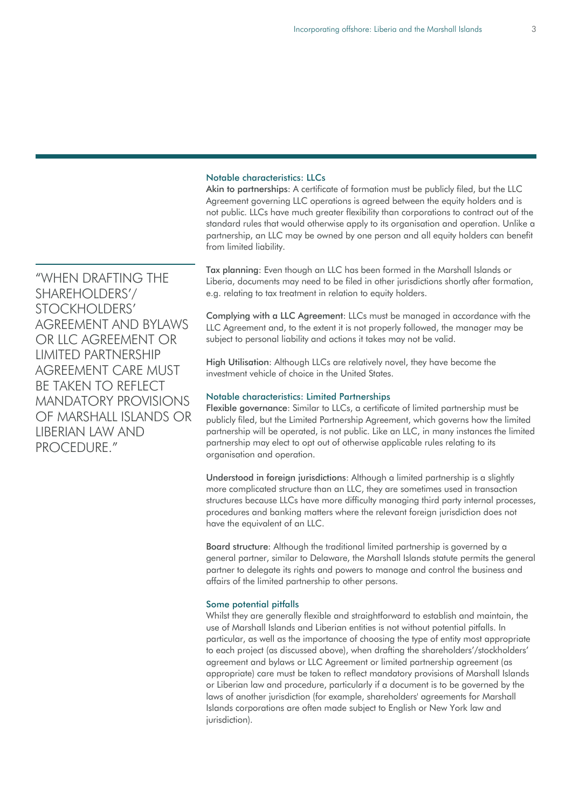#### Notable characteristics: LLCs

Akin to partnerships: A certificate of formation must be publicly filed, but the LLC Agreement governing LLC operations is agreed between the equity holders and is not public. LLCs have much greater flexibility than corporations to contract out of the standard rules that would otherwise apply to its organisation and operation. Unlike a partnership, an LLC may be owned by one person and all equity holders can benefit from limited liability.

Tax planning: Even though an LLC has been formed in the Marshall Islands or Liberia, documents may need to be filed in other jurisdictions shortly after formation, e.g. relating to tax treatment in relation to equity holders.

Complying with a LLC Agreement: LLCs must be managed in accordance with the LLC Agreement and, to the extent it is not properly followed, the manager may be subject to personal liability and actions it takes may not be valid.

High Utilisation: Although LLCs are relatively novel, they have become the investment vehicle of choice in the United States.

#### Notable characteristics: Limited Partnerships

Flexible governance: Similar to LLCs, a certificate of limited partnership must be publicly filed, but the Limited Partnership Agreement, which governs how the limited partnership will be operated, is not public. Like an LLC, in many instances the limited partnership may elect to opt out of otherwise applicable rules relating to its organisation and operation.

Understood in foreign jurisdictions: Although a limited partnership is a slightly more complicated structure than an LLC, they are sometimes used in transaction structures because LLCs have more difficulty managing third party internal processes, procedures and banking matters where the relevant foreign jurisdiction does not have the equivalent of an LLC.

Board structure: Although the traditional limited partnership is governed by a general partner, similar to Delaware, the Marshall Islands statute permits the general partner to delegate its rights and powers to manage and control the business and affairs of the limited partnership to other persons.

#### Some potential pitfalls

Whilst they are generally flexible and straightforward to establish and maintain, the use of Marshall Islands and Liberian entities is not without potential pitfalls. In particular, as well as the importance of choosing the type of entity most appropriate to each project (as discussed above), when drafting the shareholders'/stockholders' agreement and bylaws or LLC Agreement or limited partnership agreement (as appropriate) care must be taken to reflect mandatory provisions of Marshall Islands or Liberian law and procedure, particularly if a document is to be governed by the laws of another jurisdiction (for example, shareholders' agreements for Marshall Islands corporations are often made subject to English or New York law and jurisdiction).

"WHEN DRAFTING THE SHAREHOLDERS'/ STOCKHOLDERS' AGREEMENT AND BYLAWS OR LLC AGREEMENT OR LIMITED PARTNERSHIP AGREEMENT CARE MUST BE TAKEN TO REFLECT MANDATORY PROVISIONS OF MARSHALL ISLANDS OR LIBERIAN LAW AND PROCEDURE."